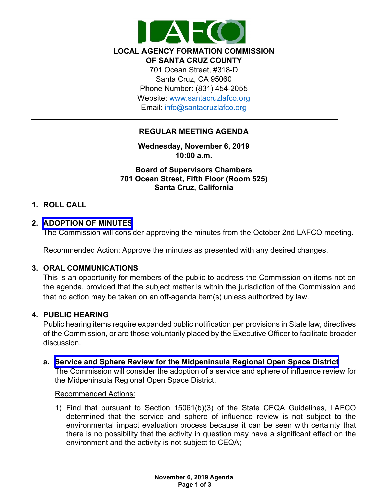

**LOCAL AGENCY FORMATION COMMISSION OF SANTA CRUZ COUNTY** 701 Ocean Street, #318-D Santa Cruz, CA 95060 Phone Number: (831) 454-2055 Website: [www.santacruzlafco.org](http://www.santacruzlafco.org/) Email: [info@santacruzlafco.org](mailto:info@santacruzlafco.org)

# **REGULAR MEETING AGENDA**

**Wednesday, November 6, 2019 10:00 a.m.**

**Board of Supervisors Chambers 701 Ocean Street, Fifth Floor (Room 525) Santa Cruz, California**

# **1. ROLL CALL**

## **2. [ADOPTION OF MINUTES](https://www.santacruzlafco.org/wp-content/uploads/2019/10/2.0-Oct-Meeting-Minutes-FINAL.pdf)**

The Commission will consider approving the minutes from the October 2nd LAFCO meeting.

Recommended Action: Approve the minutes as presented with any desired changes.

## **3. ORAL COMMUNICATIONS**

This is an opportunity for members of the public to address the Commission on items not on the agenda, provided that the subject matter is within the jurisdiction of the Commission and that no action may be taken on an off-agenda item(s) unless authorized by law.

# **4. PUBLIC HEARING**

Public hearing items require expanded public notification per provisions in State law, directives of the Commission, or are those voluntarily placed by the Executive Officer to facilitate broader discussion.

**a. Service and Sphere Review [for the Midpeninsula Regional Open Space District](https://www.santacruzlafco.org/wp-content/uploads/2019/10/4a.0-Midpen-MSR-Staff-Report-FINAL.pdf)**

The Commission will consider the adoption of a service and sphere of influence review for the Midpeninsula Regional Open Space District.

### Recommended Actions:

1) Find that pursuant to Section 15061(b)(3) of the State CEQA Guidelines, LAFCO determined that the service and sphere of influence review is not subject to the environmental impact evaluation process because it can be seen with certainty that there is no possibility that the activity in question may have a significant effect on the environment and the activity is not subject to CEQA;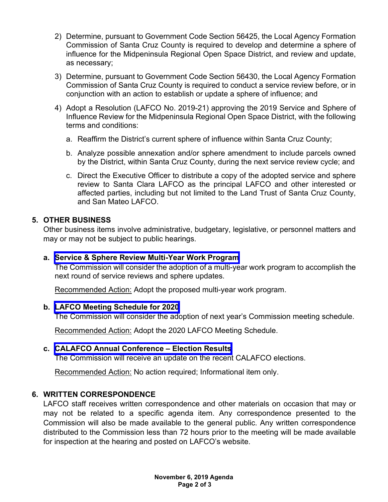- 2) Determine, pursuant to Government Code Section 56425, the Local Agency Formation Commission of Santa Cruz County is required to develop and determine a sphere of influence for the Midpeninsula Regional Open Space District, and review and update, as necessary;
- 3) Determine, pursuant to Government Code Section 56430, the Local Agency Formation Commission of Santa Cruz County is required to conduct a service review before, or in conjunction with an action to establish or update a sphere of influence; and
- 4) Adopt a Resolution (LAFCO No. 2019-21) approving the 2019 Service and Sphere of Influence Review for the Midpeninsula Regional Open Space District, with the following terms and conditions:
	- a. Reaffirm the District's current sphere of influence within Santa Cruz County;
	- b. Analyze possible annexation and/or sphere amendment to include parcels owned by the District, within Santa Cruz County, during the next service review cycle; and
	- c. Direct the Executive Officer to distribute a copy of the adopted service and sphere review to Santa Clara LAFCO as the principal LAFCO and other interested or affected parties, including but not limited to the Land Trust of Santa Cruz County, and San Mateo LAFCO.

# **5. OTHER BUSINESS**

Other business items involve administrative, budgetary, legislative, or personnel matters and may or may not be subject to public hearings.

## **a. Service & Sphere Review [Multi-Year Work Program](https://www.santacruzlafco.org/wp-content/uploads/2019/10/5a.0-Work-Program-Staff-Report-FINAL.pdf)**

The Commission will consider the adoption of a multi-year work program to accomplish the next round of service reviews and sphere updates.

Recommended Action: Adopt the proposed multi-year work program.

## **b. [LAFCO Meeting Schedule](https://www.santacruzlafco.org/wp-content/uploads/2019/10/5b.0-Meeting-Schedule-Staff-Report-FINAL.pdf) for 2020**

The Commission will consider the adoption of next year's Commission meeting schedule.

Recommended Action: Adopt the 2020 LAFCO Meeting Schedule.

# **c. [CALAFCO Annual Conference – Election Results](https://www.santacruzlafco.org/wp-content/uploads/2019/10/5c.0-CALAFCO-Election-Results-Staff-Report-FINAL.pdf)**

The Commission will receive an update on the recent CALAFCO elections.

Recommended Action: No action required; Informational item only.

# **6. WRITTEN CORRESPONDENCE**

LAFCO staff receives written correspondence and other materials on occasion that may or may not be related to a specific agenda item. Any correspondence presented to the Commission will also be made available to the general public. Any written correspondence distributed to the Commission less than 72 hours prior to the meeting will be made available for inspection at the hearing and posted on LAFCO's website.